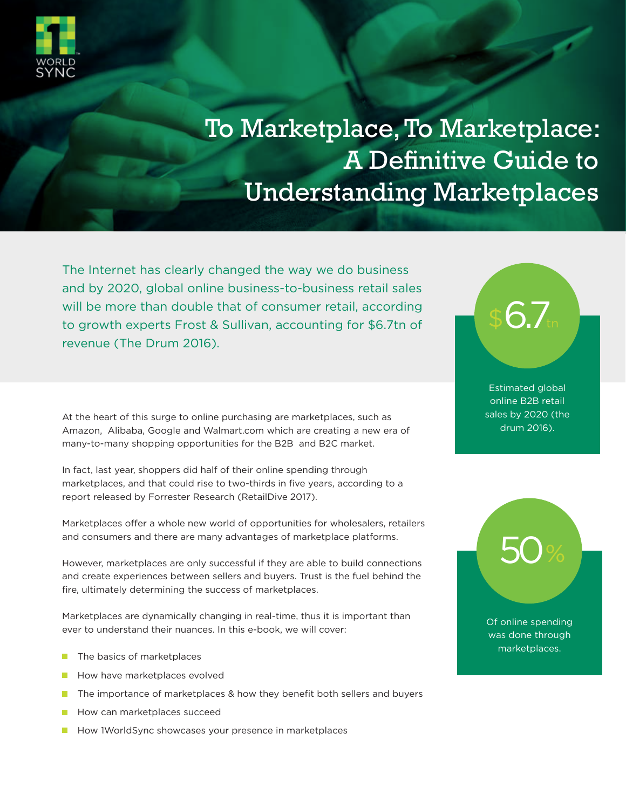

# To Marketplace, To Marketplace: A Definitive Guide to Understanding Marketplaces

The Internet has clearly changed the way we do business and by 2020, global online business-to-business retail sales will be more than double that of consumer retail, according to growth experts Frost & Sullivan, accounting for \$6.7tn of revenue (The Drum 2016).

At the heart of this surge to online purchasing are marketplaces, such as Amazon, Alibaba, Google and Walmart.com which are creating a new era of many-to-many shopping opportunities for the B2B and B2C market.

In fact, last year, shoppers did half of their online spending through marketplaces, and that could rise to two-thirds in five years, according to a report released by Forrester Research (RetailDive 2017).

Marketplaces offer a whole new world of opportunities for wholesalers, retailers and consumers and there are many advantages of marketplace platforms.

However, marketplaces are only successful if they are able to build connections and create experiences between sellers and buyers. Trust is the fuel behind the fire, ultimately determining the success of marketplaces.

Marketplaces are dynamically changing in real-time, thus it is important than ever to understand their nuances. In this e-book, we will cover:

- $\mathcal{L}_{\mathcal{A}}$ The basics of marketplaces
- How have marketplaces evolved
- The importance of marketplaces & how they benefit both sellers and buyers **Tale**
- П How can marketplaces succeed
- How 1WorldSync showcases your presence in marketplaces



Estimated global online B2B retail sales by 2020 (the drum 2016).

Of online spending was done through marketplaces.

50%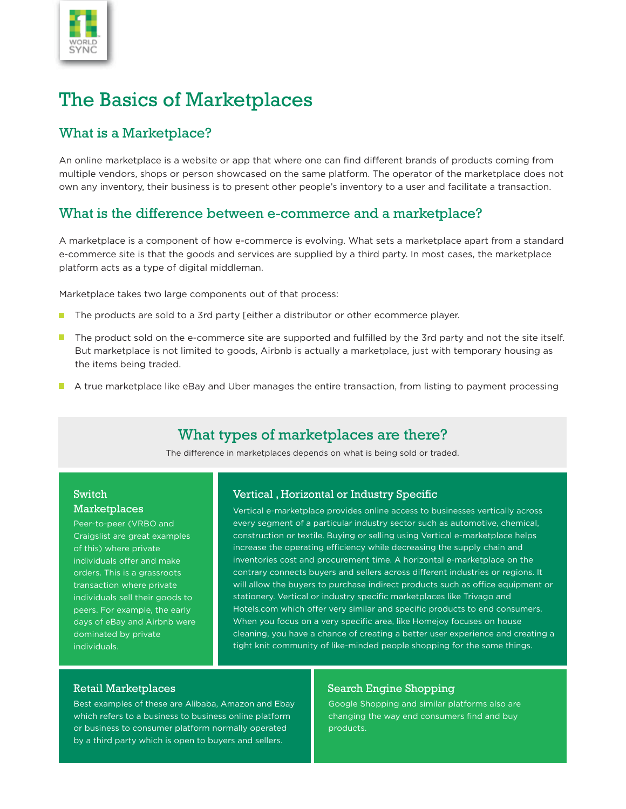

# The Basics of Marketplaces

#### What is a Marketplace?

An online marketplace is a website or app that where one can find different brands of products coming from multiple vendors, shops or person showcased on the same platform. The operator of the marketplace does not own any inventory, their business is to present other people's inventory to a user and facilitate a transaction.

#### What is the difference between e-commerce and a marketplace?

A marketplace is a component of how e-commerce is evolving. What sets a marketplace apart from a standard e-commerce site is that the goods and services are supplied by a third party. In most cases, the marketplace platform acts as a type of digital middleman.

Marketplace takes two large components out of that process:

- The products are sold to a 3rd party [either a distributor or other ecommerce player.  $\mathcal{L}_{\mathcal{A}}$
- The product sold on the e-commerce site are supported and fulfilled by the 3rd party and not the site itself. But marketplace is not limited to goods, Airbnb is actually a marketplace, just with temporary housing as the items being traded.
- A true marketplace like eBay and Uber manages the entire transaction, from listing to payment processing

### What types of marketplaces are there?

The difference in marketplaces depends on what is being sold or traded.

#### Switch **Marketplaces**

Peer-to-peer (VRBO and Craigslist are great examples of this) where private individuals offer and make orders. This is a grassroots transaction where private individuals sell their goods to peers. For example, the early days of eBay and Airbnb were dominated by private individuals.

#### Vertical, Horizontal or Industry Specific

Vertical e-marketplace provides online access to businesses vertically across every segment of a particular industry sector such as automotive, chemical, construction or textile. Buying or selling using Vertical e-marketplace helps increase the operating efficiency while decreasing the supply chain and inventories cost and procurement time. A horizontal e-marketplace on the contrary connects buyers and sellers across different industries or regions. It will allow the buyers to purchase indirect products such as office equipment or stationery. Vertical or industry specific marketplaces like Trivago and Hotels.com which offer very similar and specific products to end consumers. When you focus on a very specific area, like Homejoy focuses on house cleaning, you have a chance of creating a better user experience and creating a tight knit community of like-minded people shopping for the same things.

Best examples of these are Alibaba, Amazon and Ebay which refers to a business to business online platform or business to consumer platform normally operated by a third party which is open to buyers and sellers.

#### Retail Marketplaces Search Engine Shopping

Google Shopping and similar platforms also are changing the way end consumers find and buy products.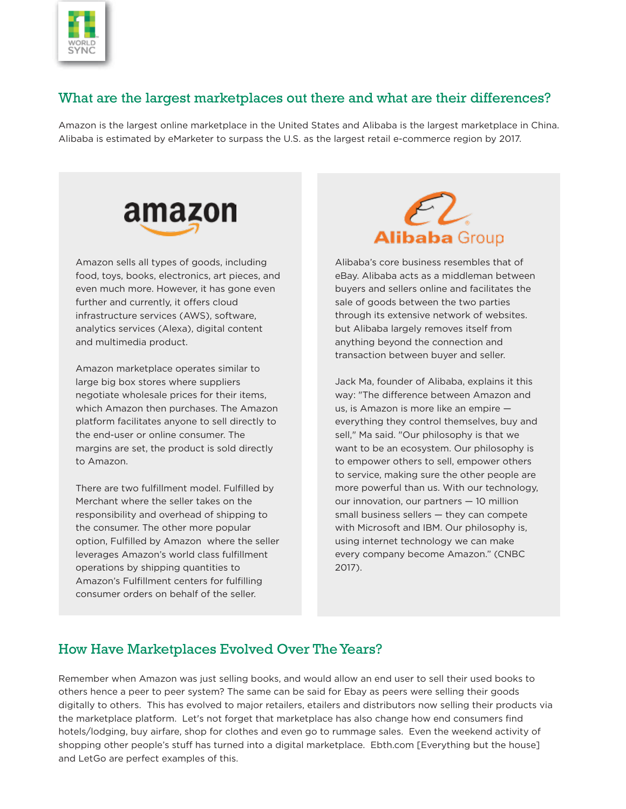

### What are the largest marketplaces out there and what are their differences?

Amazon is the largest online marketplace in the United States and Alibaba is the largest marketplace in China. Alibaba is estimated by eMarketer to surpass the U.S. as the largest retail e-commerce region by 2017.



Amazon sells all types of goods, including food, toys, books, electronics, art pieces, and even much more. However, it has gone even further and currently, it offers cloud infrastructure services (AWS), software, analytics services (Alexa), digital content and multimedia product.

Amazon marketplace operates similar to large big box stores where suppliers negotiate wholesale prices for their items, which Amazon then purchases. The Amazon platform facilitates anyone to sell directly to the end-user or online consumer. The margins are set, the product is sold directly to Amazon.

There are two fulfillment model. Fulfilled by Merchant where the seller takes on the responsibility and overhead of shipping to the consumer. The other more popular option, Fulfilled by Amazon where the seller leverages Amazon's world class fulfillment operations by shipping quantities to Amazon's Fulfillment centers for fulfilling consumer orders on behalf of the seller.



Alibaba's core business resembles that of eBay. Alibaba acts as a middleman between buyers and sellers online and facilitates the sale of goods between the two parties through its extensive network of websites. but Alibaba largely removes itself from anything beyond the connection and transaction between buyer and seller.

Jack Ma, founder of Alibaba, explains it this way: "The difference between Amazon and us, is Amazon is more like an empire everything they control themselves, buy and sell," Ma said. "Our philosophy is that we want to be an ecosystem. Our philosophy is to empower others to sell, empower others to service, making sure the other people are more powerful than us. With our technology, our innovation, our partners — 10 million small business sellers — they can compete with Microsoft and IBM. Our philosophy is, using internet technology we can make every company become Amazon." (CNBC 2017).

#### How Have Marketplaces Evolved Over The Years?

Remember when Amazon was just selling books, and would allow an end user to sell their used books to others hence a peer to peer system? The same can be said for Ebay as peers were selling their goods digitally to others. This has evolved to major retailers, etailers and distributors now selling their products via the marketplace platform. Let's not forget that marketplace has also change how end consumers find hotels/lodging, buy airfare, shop for clothes and even go to rummage sales. Even the weekend activity of shopping other people's stuff has turned into a digital marketplace. Ebth.com [Everything but the house] and LetGo are perfect examples of this.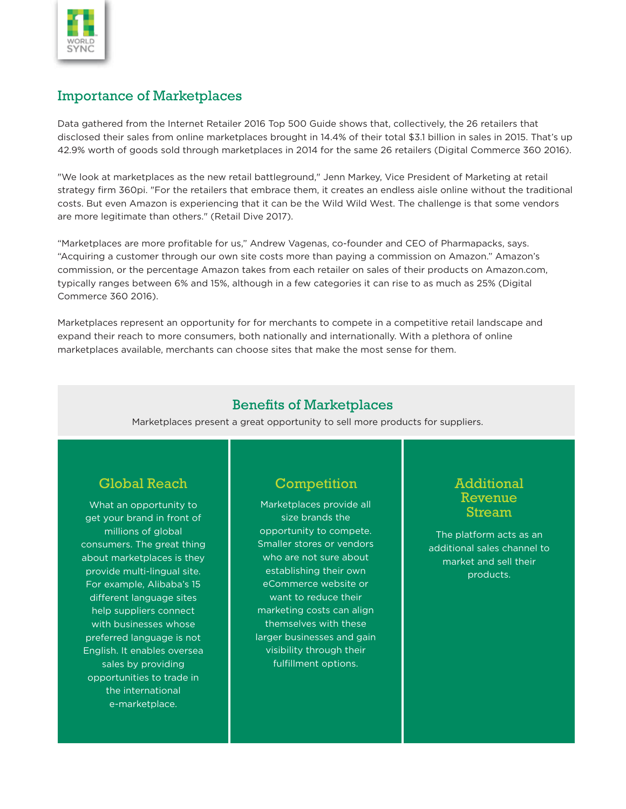

### Importance of Marketplaces

Data gathered from the Internet Retailer 2016 Top 500 Guide shows that, collectively, the 26 retailers that disclosed their sales from online marketplaces brought in 14.4% of their total \$3.1 billion in sales in 2015. That's up 42.9% worth of goods sold through marketplaces in 2014 for the same 26 retailers (Digital Commerce 360 2016).

"We look at marketplaces as the new retail battleground," Jenn Markey, Vice President of Marketing at retail strategy firm 360pi. "For the retailers that embrace them, it creates an endless aisle online without the traditional costs. But even Amazon is experiencing that it can be the Wild Wild West. The challenge is that some vendors are more legitimate than others." (Retail Dive 2017).

"Marketplaces are more profitable for us," Andrew Vagenas, co-founder and CEO of Pharmapacks, says. "Acquiring a customer through our own site costs more than paying a commission on Amazon." Amazon's commission, or the percentage Amazon takes from each retailer on sales of their products on Amazon.com, typically ranges between 6% and 15%, although in a few categories it can rise to as much as 25% (Digital Commerce 360 2016).

Marketplaces represent an opportunity for for merchants to compete in a competitive retail landscape and expand their reach to more consumers, both nationally and internationally. With a plethora of online marketplaces available, merchants can choose sites that make the most sense for them.

#### **Benefits of Marketplaces**

Marketplaces present a great opportunity to sell more products for suppliers.

### Global Reach Competition **Additional**

What an opportunity to get your brand in front of millions of global consumers. The great thing about marketplaces is they provide multi-lingual site. For example, Alibaba's 15 different language sites help suppliers connect with businesses whose preferred language is not English. It enables oversea sales by providing opportunities to trade in the international e-marketplace.

Marketplaces provide all size brands the opportunity to compete. Smaller stores or vendors who are not sure about establishing their own eCommerce website or want to reduce their marketing costs can align themselves with these larger businesses and gain visibility through their fulfillment options.

# Revenue Stream

The platform acts as an additional sales channel to market and sell their products.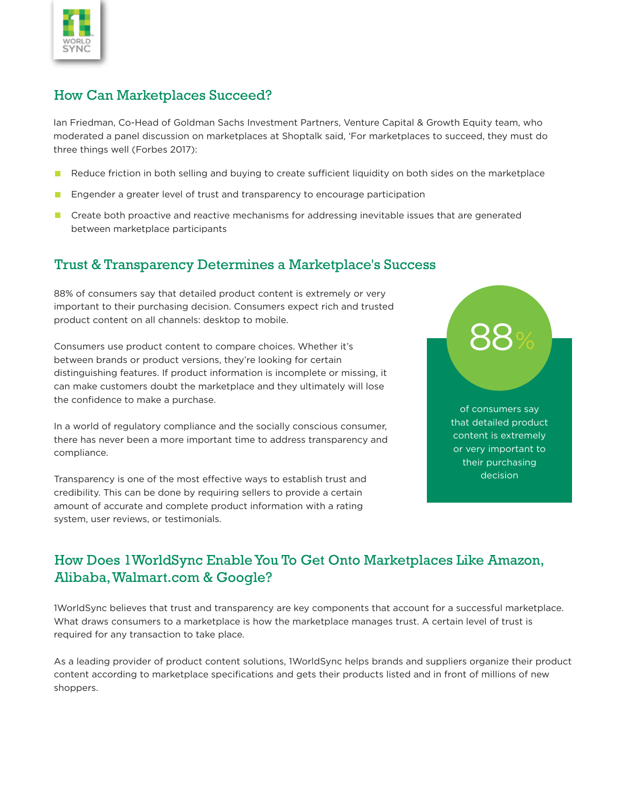

## How Can Marketplaces Succeed?

Ian Friedman, Co-Head of Goldman Sachs Investment Partners, Venture Capital & Growth Equity team, who moderated a panel discussion on marketplaces at Shoptalk said, 'For marketplaces to succeed, they must do three things well (Forbes 2017):

- Reduce friction in both selling and buying to create sufficient liquidity on both sides on the marketplace
- Engender a greater level of trust and transparency to encourage participation **The Second**
- **E** Create both proactive and reactive mechanisms for addressing inevitable issues that are generated between marketplace participants

## Trust & Transparency Determines a Marketplace's Success

88% of consumers say that detailed product content is extremely or very important to their purchasing decision. Consumers expect rich and trusted product content on all channels: desktop to mobile.

Consumers use product content to compare choices. Whether it's between brands or product versions, they're looking for certain distinguishing features. If product information is incomplete or missing, it can make customers doubt the marketplace and they ultimately will lose the confidence to make a purchase.

In a world of regulatory compliance and the socially conscious consumer, there has never been a more important time to address transparency and compliance.

Transparency is one of the most effective ways to establish trust and credibility. This can be done by requiring sellers to provide a certain amount of accurate and complete product information with a rating system, user reviews, or testimonials.



# How Does 1WorldSync Enable You To Get Onto Marketplaces Like Amazon, Alibaba, Walmart.com & Google?

1WorldSync believes that trust and transparency are key components that account for a successful marketplace. What draws consumers to a marketplace is how the marketplace manages trust. A certain level of trust is required for any transaction to take place.

As a leading provider of product content solutions, 1WorldSync helps brands and suppliers organize their product content according to marketplace specifications and gets their products listed and in front of millions of new shoppers.